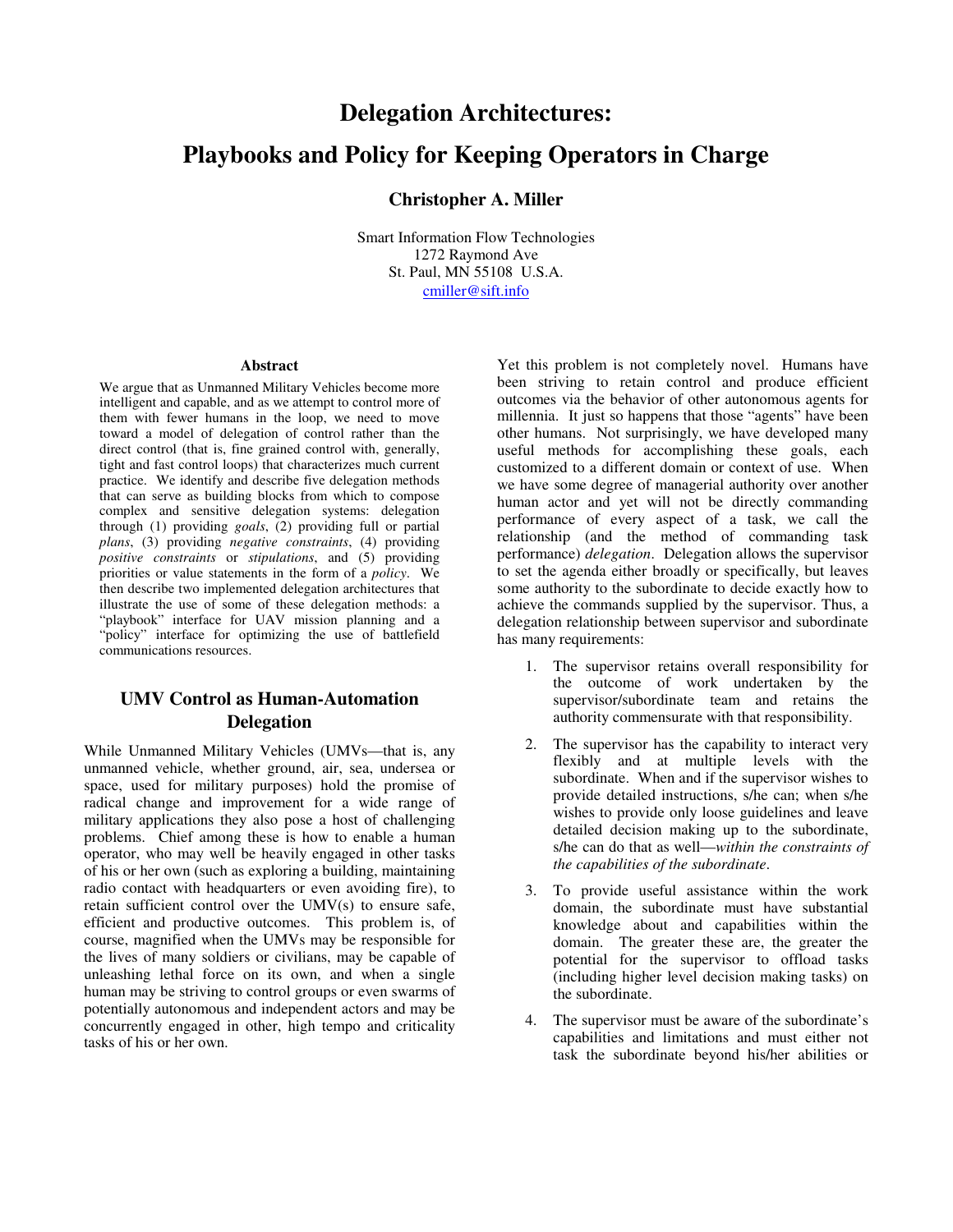# **Delegation Architectures: Playbooks and Policy for Keeping Operators in Charge**

## **Christopher A. Miller**

Smart Information Flow Technologies 1272 Raymond Ave St. Paul, MN 55108 U.S.A. cmiller@sift.info

#### **Abstract**

We argue that as Unmanned Military Vehicles become more intelligent and capable, and as we attempt to control more of them with fewer humans in the loop, we need to move toward a model of delegation of control rather than the direct control (that is, fine grained control with, generally, tight and fast control loops) that characterizes much current practice. We identify and describe five delegation methods that can serve as building blocks from which to compose complex and sensitive delegation systems: delegation through (1) providing *goals*, (2) providing full or partial *plans*, (3) providing *negative constraints*, (4) providing *positive constraints* or *stipulations*, and (5) providing priorities or value statements in the form of a *policy*. We then describe two implemented delegation architectures that illustrate the use of some of these delegation methods: a "playbook" interface for UAV mission planning and a "policy" interface for optimizing the use of battlefield communications resources.

## **UMV Control as Human-Automation Delegation**

While Unmanned Military Vehicles (UMVs—that is, any unmanned vehicle, whether ground, air, sea, undersea or space, used for military purposes) hold the promise of radical change and improvement for a wide range of military applications they also pose a host of challenging problems. Chief among these is how to enable a human operator, who may well be heavily engaged in other tasks of his or her own (such as exploring a building, maintaining radio contact with headquarters or even avoiding fire), to retain sufficient control over the UMV(s) to ensure safe, efficient and productive outcomes. This problem is, of course, magnified when the UMVs may be responsible for the lives of many soldiers or civilians, may be capable of unleashing lethal force on its own, and when a single human may be striving to control groups or even swarms of potentially autonomous and independent actors and may be concurrently engaged in other, high tempo and criticality tasks of his or her own.

Yet this problem is not completely novel. Humans have been striving to retain control and produce efficient outcomes via the behavior of other autonomous agents for millennia. It just so happens that those "agents" have been other humans. Not surprisingly, we have developed many useful methods for accomplishing these goals, each customized to a different domain or context of use. When we have some degree of managerial authority over another human actor and yet will not be directly commanding performance of every aspect of a task, we call the relationship (and the method of commanding task performance) *delegation*. Delegation allows the supervisor to set the agenda either broadly or specifically, but leaves some authority to the subordinate to decide exactly how to achieve the commands supplied by the supervisor. Thus, a delegation relationship between supervisor and subordinate has many requirements:

- 1. The supervisor retains overall responsibility for the outcome of work undertaken by the supervisor/subordinate team and retains the authority commensurate with that responsibility.
- 2. The supervisor has the capability to interact very flexibly and at multiple levels with the subordinate. When and if the supervisor wishes to provide detailed instructions, s/he can; when s/he wishes to provide only loose guidelines and leave detailed decision making up to the subordinate, s/he can do that as well—*within the constraints of the capabilities of the subordinate*.
- 3. To provide useful assistance within the work domain, the subordinate must have substantial knowledge about and capabilities within the domain. The greater these are, the greater the potential for the supervisor to offload tasks (including higher level decision making tasks) on the subordinate.
- 4. The supervisor must be aware of the subordinate's capabilities and limitations and must either not task the subordinate beyond his/her abilities or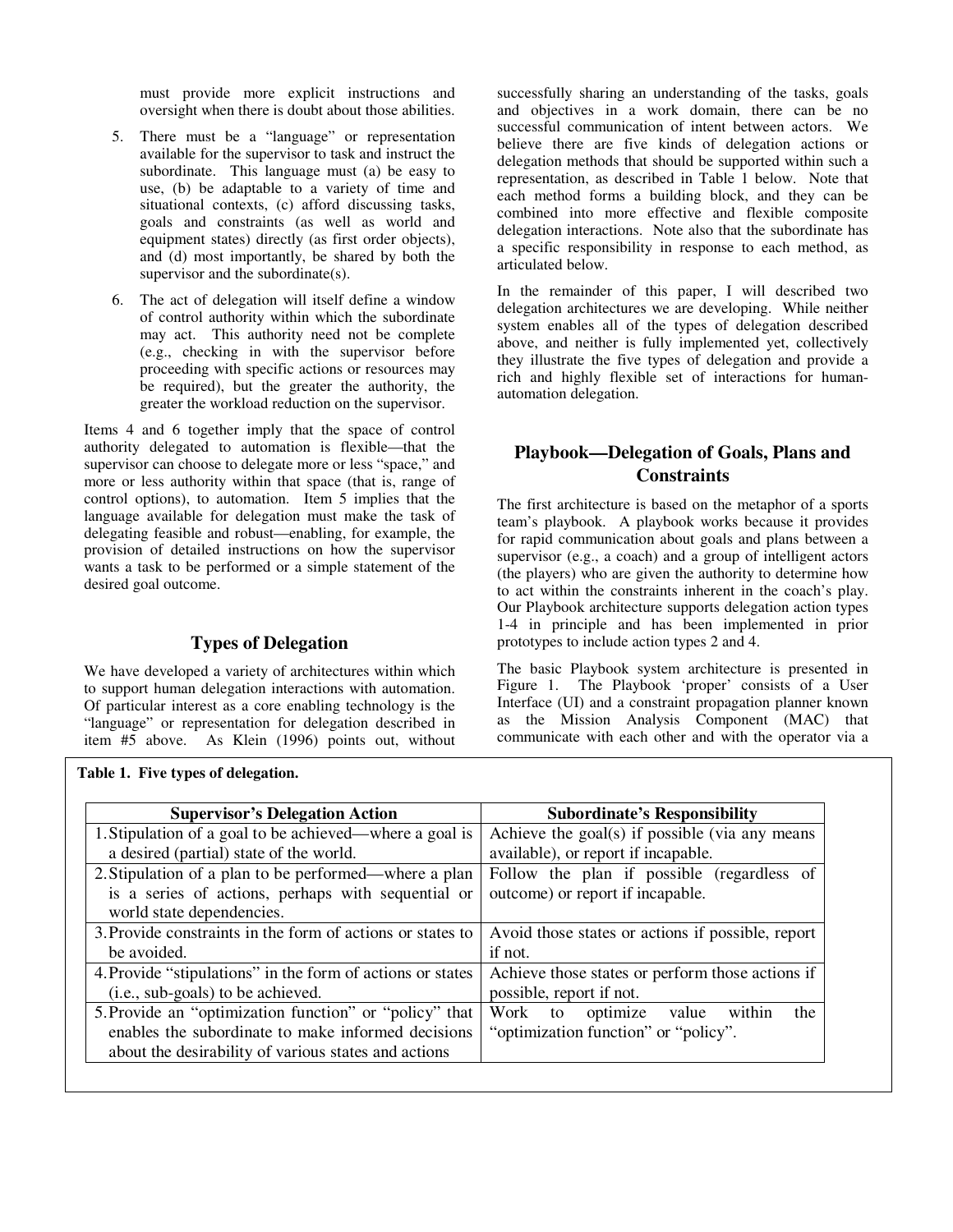must provide more explicit instructions and oversight when there is doubt about those abilities.

- 5. There must be a "language" or representation available for the supervisor to task and instruct the subordinate. This language must (a) be easy to use, (b) be adaptable to a variety of time and situational contexts, (c) afford discussing tasks, goals and constraints (as well as world and equipment states) directly (as first order objects), and (d) most importantly, be shared by both the supervisor and the subordinate(s).
- 6. The act of delegation will itself define a window of control authority within which the subordinate may act. This authority need not be complete (e.g., checking in with the supervisor before proceeding with specific actions or resources may be required), but the greater the authority, the greater the workload reduction on the supervisor.

Items 4 and 6 together imply that the space of control authority delegated to automation is flexible—that the supervisor can choose to delegate more or less "space," and more or less authority within that space (that is, range of control options), to automation. Item 5 implies that the language available for delegation must make the task of delegating feasible and robust—enabling, for example, the provision of detailed instructions on how the supervisor wants a task to be performed or a simple statement of the desired goal outcome.

## **Types of Delegation**

We have developed a variety of architectures within which to support human delegation interactions with automation. Of particular interest as a core enabling technology is the "language" or representation for delegation described in item #5 above. As Klein (1996) points out, without

successfully sharing an understanding of the tasks, goals and objectives in a work domain, there can be no successful communication of intent between actors. We believe there are five kinds of delegation actions or delegation methods that should be supported within such a representation, as described in Table 1 below. Note that each method forms a building block, and they can be combined into more effective and flexible composite delegation interactions. Note also that the subordinate has a specific responsibility in response to each method, as articulated below.

In the remainder of this paper, I will described two delegation architectures we are developing. While neither system enables all of the types of delegation described above, and neither is fully implemented yet, collectively they illustrate the five types of delegation and provide a rich and highly flexible set of interactions for humanautomation delegation.

## **Playbook—Delegation of Goals, Plans and Constraints**

The first architecture is based on the metaphor of a sports team's playbook. A playbook works because it provides for rapid communication about goals and plans between a supervisor (e.g., a coach) and a group of intelligent actors (the players) who are given the authority to determine how to act within the constraints inherent in the coach's play. Our Playbook architecture supports delegation action types 1-4 in principle and has been implemented in prior prototypes to include action types 2 and 4.

The basic Playbook system architecture is presented in Figure 1. The Playbook 'proper' consists of a User Interface (UI) and a constraint propagation planner known as the Mission Analysis Component (MAC) that communicate with each other and with the operator via a

| <b>Supervisor's Delegation Action</b>                      | <b>Subordinate's Responsibility</b>               |
|------------------------------------------------------------|---------------------------------------------------|
| 1. Stipulation of a goal to be achieved—where a goal is    | Achieve the goal(s) if possible (via any means    |
| a desired (partial) state of the world.                    | available), or report if incapable.               |
| 2. Stipulation of a plan to be performed—where a plan      | Follow the plan if possible (regardless of        |
| is a series of actions, perhaps with sequential or         | outcome) or report if incapable.                  |
| world state dependencies.                                  |                                                   |
| 3. Provide constraints in the form of actions or states to | Avoid those states or actions if possible, report |
| be avoided.                                                | if not.                                           |
| 4. Provide "stipulations" in the form of actions or states | Achieve those states or perform those actions if  |
| (i.e., sub-goals) to be achieved.                          | possible, report if not.                          |
| 5. Provide an "optimization function" or "policy" that     | optimize<br>Work to<br>within<br>value<br>the     |
| enables the subordinate to make informed decisions         | "optimization function" or "policy".              |
| about the desirability of various states and actions       |                                                   |

**Table 1. Five types of delegation.**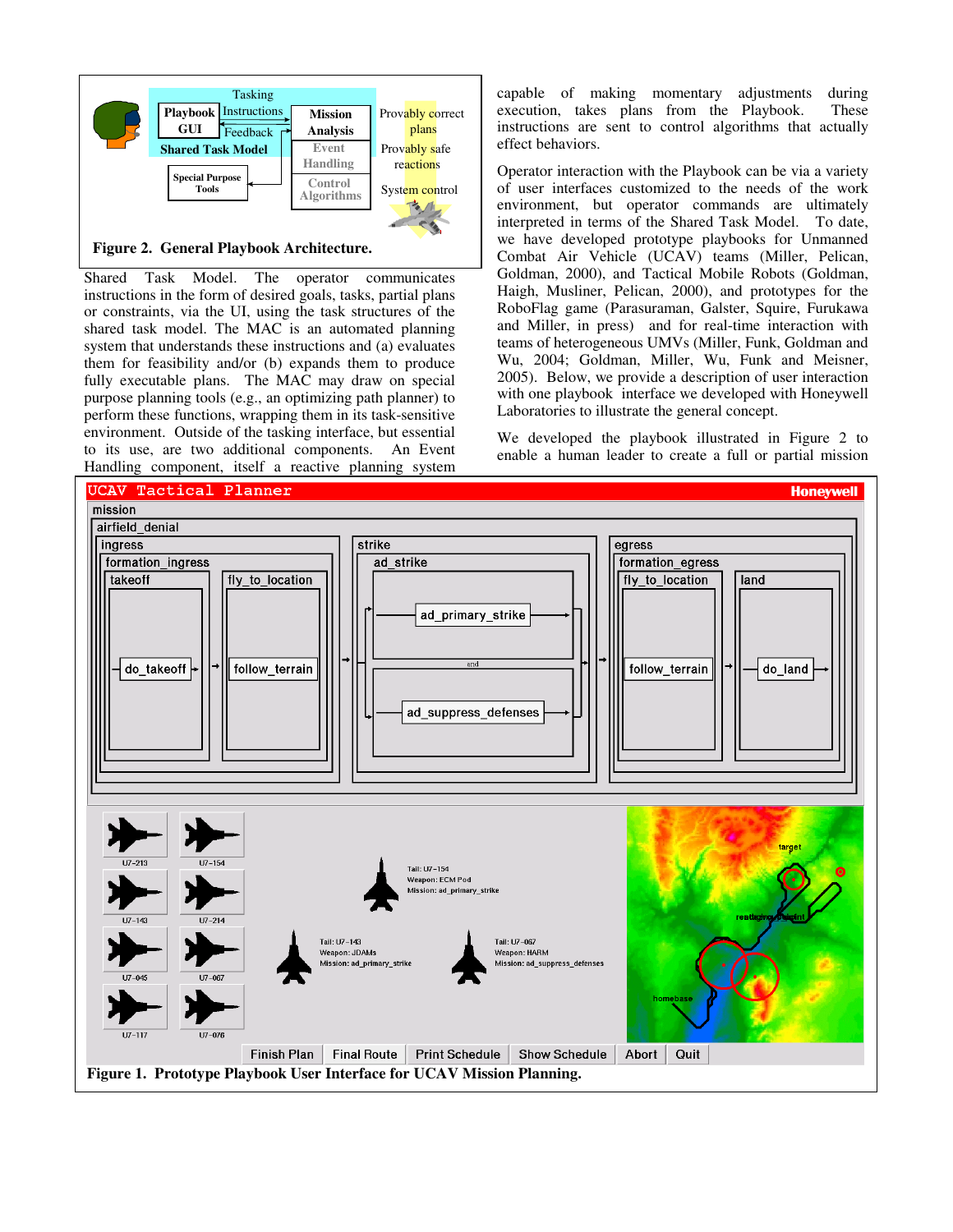

**Figure 2. General Playbook Architecture.** 

Shared Task Model. The operator communicates instructions in the form of desired goals, tasks, partial plans or constraints, via the UI, using the task structures of the shared task model. The MAC is an automated planning system that understands these instructions and (a) evaluates them for feasibility and/or (b) expands them to produce fully executable plans. The MAC may draw on special purpose planning tools (e.g., an optimizing path planner) to perform these functions, wrapping them in its task-sensitive environment. Outside of the tasking interface, but essential to its use, are two additional components. An Event Handling component, itself a reactive planning system

capable of making momentary adjustments during execution, takes plans from the Playbook. These instructions are sent to control algorithms that actually effect behaviors.

Operator interaction with the Playbook can be via a variety of user interfaces customized to the needs of the work environment, but operator commands are ultimately interpreted in terms of the Shared Task Model. To date, we have developed prototype playbooks for Unmanned Combat Air Vehicle (UCAV) teams (Miller, Pelican, Goldman, 2000), and Tactical Mobile Robots (Goldman, Haigh, Musliner, Pelican, 2000), and prototypes for the RoboFlag game (Parasuraman, Galster, Squire, Furukawa and Miller, in press) and for real-time interaction with teams of heterogeneous UMVs (Miller, Funk, Goldman and Wu, 2004; Goldman, Miller, Wu, Funk and Meisner, 2005). Below, we provide a description of user interaction with one playbook interface we developed with Honeywell Laboratories to illustrate the general concept.

We developed the playbook illustrated in Figure 2 to enable a human leader to create a full or partial mission

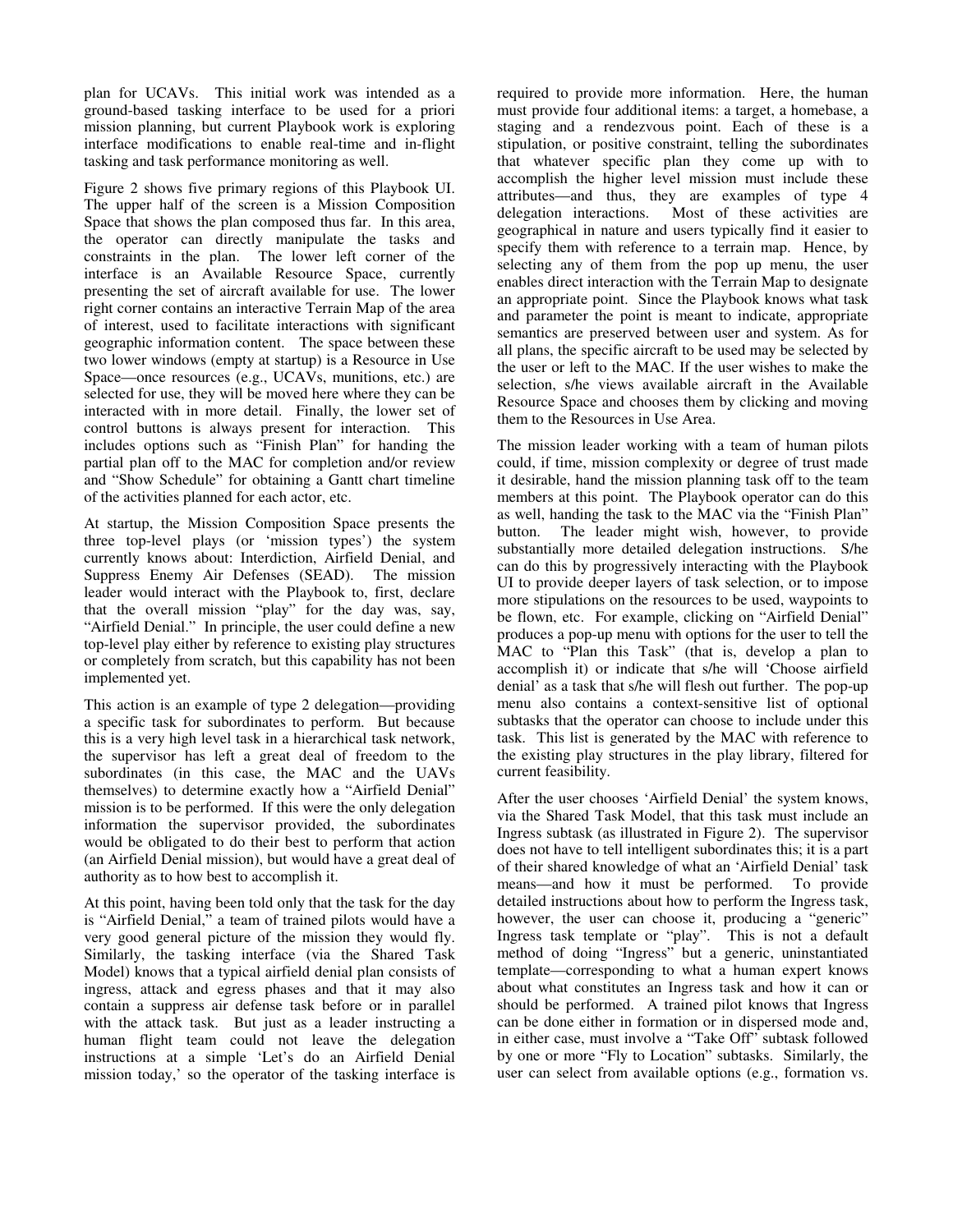plan for UCAVs. This initial work was intended as a ground-based tasking interface to be used for a priori mission planning, but current Playbook work is exploring interface modifications to enable real-time and in-flight tasking and task performance monitoring as well.

Figure 2 shows five primary regions of this Playbook UI. The upper half of the screen is a Mission Composition Space that shows the plan composed thus far. In this area, the operator can directly manipulate the tasks and constraints in the plan. The lower left corner of the interface is an Available Resource Space, currently presenting the set of aircraft available for use. The lower right corner contains an interactive Terrain Map of the area of interest, used to facilitate interactions with significant geographic information content. The space between these two lower windows (empty at startup) is a Resource in Use Space—once resources (e.g., UCAVs, munitions, etc.) are selected for use, they will be moved here where they can be interacted with in more detail. Finally, the lower set of control buttons is always present for interaction. This includes options such as "Finish Plan" for handing the partial plan off to the MAC for completion and/or review and "Show Schedule" for obtaining a Gantt chart timeline of the activities planned for each actor, etc.

At startup, the Mission Composition Space presents the three top-level plays (or 'mission types') the system currently knows about: Interdiction, Airfield Denial, and Suppress Enemy Air Defenses (SEAD). The mission leader would interact with the Playbook to, first, declare that the overall mission "play" for the day was, say, "Airfield Denial." In principle, the user could define a new top-level play either by reference to existing play structures or completely from scratch, but this capability has not been implemented yet.

This action is an example of type 2 delegation—providing a specific task for subordinates to perform. But because this is a very high level task in a hierarchical task network, the supervisor has left a great deal of freedom to the subordinates (in this case, the MAC and the UAVs themselves) to determine exactly how a "Airfield Denial" mission is to be performed. If this were the only delegation information the supervisor provided, the subordinates would be obligated to do their best to perform that action (an Airfield Denial mission), but would have a great deal of authority as to how best to accomplish it.

At this point, having been told only that the task for the day is "Airfield Denial," a team of trained pilots would have a very good general picture of the mission they would fly. Similarly, the tasking interface (via the Shared Task Model) knows that a typical airfield denial plan consists of ingress, attack and egress phases and that it may also contain a suppress air defense task before or in parallel with the attack task. But just as a leader instructing a human flight team could not leave the delegation instructions at a simple 'Let's do an Airfield Denial mission today,' so the operator of the tasking interface is required to provide more information. Here, the human must provide four additional items: a target, a homebase, a staging and a rendezvous point. Each of these is a stipulation, or positive constraint, telling the subordinates that whatever specific plan they come up with to accomplish the higher level mission must include these attributes—and thus, they are examples of type 4 delegation interactions. Most of these activities are geographical in nature and users typically find it easier to specify them with reference to a terrain map. Hence, by selecting any of them from the pop up menu, the user enables direct interaction with the Terrain Map to designate an appropriate point. Since the Playbook knows what task and parameter the point is meant to indicate, appropriate semantics are preserved between user and system. As for all plans, the specific aircraft to be used may be selected by the user or left to the MAC. If the user wishes to make the selection, s/he views available aircraft in the Available Resource Space and chooses them by clicking and moving them to the Resources in Use Area.

The mission leader working with a team of human pilots could, if time, mission complexity or degree of trust made it desirable, hand the mission planning task off to the team members at this point. The Playbook operator can do this as well, handing the task to the MAC via the "Finish Plan" button. The leader might wish, however, to provide substantially more detailed delegation instructions. S/he can do this by progressively interacting with the Playbook UI to provide deeper layers of task selection, or to impose more stipulations on the resources to be used, waypoints to be flown, etc. For example, clicking on "Airfield Denial" produces a pop-up menu with options for the user to tell the MAC to "Plan this Task" (that is, develop a plan to accomplish it) or indicate that s/he will 'Choose airfield denial' as a task that s/he will flesh out further. The pop-up menu also contains a context-sensitive list of optional subtasks that the operator can choose to include under this task. This list is generated by the MAC with reference to the existing play structures in the play library, filtered for current feasibility.

After the user chooses 'Airfield Denial' the system knows, via the Shared Task Model, that this task must include an Ingress subtask (as illustrated in Figure 2). The supervisor does not have to tell intelligent subordinates this; it is a part of their shared knowledge of what an 'Airfield Denial' task means—and how it must be performed. To provide detailed instructions about how to perform the Ingress task, however, the user can choose it, producing a "generic" Ingress task template or "play". This is not a default method of doing "Ingress" but a generic, uninstantiated template—corresponding to what a human expert knows about what constitutes an Ingress task and how it can or should be performed. A trained pilot knows that Ingress can be done either in formation or in dispersed mode and, in either case, must involve a "Take Off" subtask followed by one or more "Fly to Location" subtasks. Similarly, the user can select from available options (e.g., formation vs.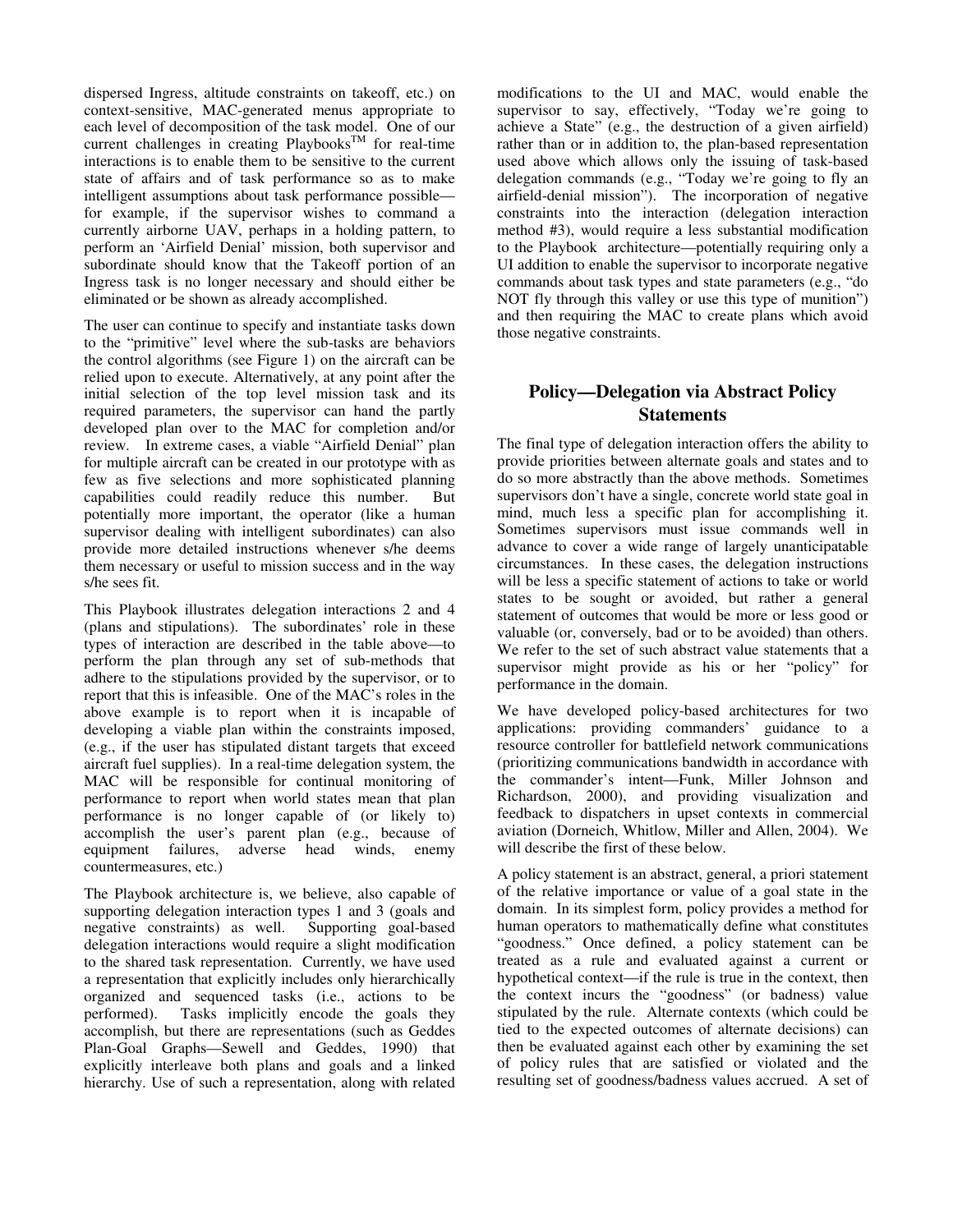dispersed Ingress, altitude constraints on takeoff, etc.) on context-sensitive, MAC-generated menus appropriate to each level of decomposition of the task model. One of our current challenges in creating  $Plavbooks^{TM}$  for real-time interactions is to enable them to be sensitive to the current state of affairs and of task performance so as to make intelligent assumptions about task performance possible for example, if the supervisor wishes to command a currently airborne UAV, perhaps in a holding pattern, to perform an 'Airfield Denial' mission, both supervisor and subordinate should know that the Takeoff portion of an Ingress task is no longer necessary and should either be eliminated or be shown as already accomplished.

The user can continue to specify and instantiate tasks down to the "primitive" level where the sub-tasks are behaviors the control algorithms (see Figure 1) on the aircraft can be relied upon to execute. Alternatively, at any point after the initial selection of the top level mission task and its required parameters, the supervisor can hand the partly developed plan over to the MAC for completion and/or review. In extreme cases, a viable "Airfield Denial" plan for multiple aircraft can be created in our prototype with as few as five selections and more sophisticated planning capabilities could readily reduce this number. But potentially more important, the operator (like a human supervisor dealing with intelligent subordinates) can also provide more detailed instructions whenever s/he deems them necessary or useful to mission success and in the way s/he sees fit.

This Playbook illustrates delegation interactions 2 and 4 (plans and stipulations). The subordinates' role in these types of interaction are described in the table above—to perform the plan through any set of sub-methods that adhere to the stipulations provided by the supervisor, or to report that this is infeasible. One of the MAC's roles in the above example is to report when it is incapable of developing a viable plan within the constraints imposed, (e.g., if the user has stipulated distant targets that exceed aircraft fuel supplies). In a real-time delegation system, the MAC will be responsible for continual monitoring of performance to report when world states mean that plan performance is no longer capable of (or likely to) accomplish the user's parent plan (e.g., because of equipment failures, adverse head winds, enemy countermeasures, etc.)

The Playbook architecture is, we believe, also capable of supporting delegation interaction types 1 and 3 (goals and negative constraints) as well. Supporting goal-based negative constraints) as well. delegation interactions would require a slight modification to the shared task representation. Currently, we have used a representation that explicitly includes only hierarchically organized and sequenced tasks (i.e., actions to be performed). Tasks implicitly encode the goals they accomplish, but there are representations (such as Geddes Plan-Goal Graphs—Sewell and Geddes, 1990) that explicitly interleave both plans and goals and a linked hierarchy. Use of such a representation, along with related

modifications to the UI and MAC, would enable the supervisor to say, effectively, "Today we're going to achieve a State" (e.g., the destruction of a given airfield) rather than or in addition to, the plan-based representation used above which allows only the issuing of task-based delegation commands (e.g., "Today we're going to fly an airfield-denial mission"). The incorporation of negative constraints into the interaction (delegation interaction method #3), would require a less substantial modification to the Playbook architecture—potentially requiring only a UI addition to enable the supervisor to incorporate negative commands about task types and state parameters (e.g., "do NOT fly through this valley or use this type of munition") and then requiring the MAC to create plans which avoid those negative constraints.

# **Policy—Delegation via Abstract Policy Statements**

The final type of delegation interaction offers the ability to provide priorities between alternate goals and states and to do so more abstractly than the above methods. Sometimes supervisors don't have a single, concrete world state goal in mind, much less a specific plan for accomplishing it. Sometimes supervisors must issue commands well in advance to cover a wide range of largely unanticipatable circumstances. In these cases, the delegation instructions will be less a specific statement of actions to take or world states to be sought or avoided, but rather a general statement of outcomes that would be more or less good or valuable (or, conversely, bad or to be avoided) than others. We refer to the set of such abstract value statements that a supervisor might provide as his or her "policy" for performance in the domain.

We have developed policy-based architectures for two applications: providing commanders' guidance to a resource controller for battlefield network communications (prioritizing communications bandwidth in accordance with the commander's intent—Funk, Miller Johnson and Richardson, 2000), and providing visualization and feedback to dispatchers in upset contexts in commercial aviation (Dorneich, Whitlow, Miller and Allen, 2004). We will describe the first of these below.

A policy statement is an abstract, general, a priori statement of the relative importance or value of a goal state in the domain. In its simplest form, policy provides a method for human operators to mathematically define what constitutes "goodness." Once defined, a policy statement can be treated as a rule and evaluated against a current or hypothetical context—if the rule is true in the context, then the context incurs the "goodness" (or badness) value stipulated by the rule. Alternate contexts (which could be tied to the expected outcomes of alternate decisions) can then be evaluated against each other by examining the set of policy rules that are satisfied or violated and the resulting set of goodness/badness values accrued. A set of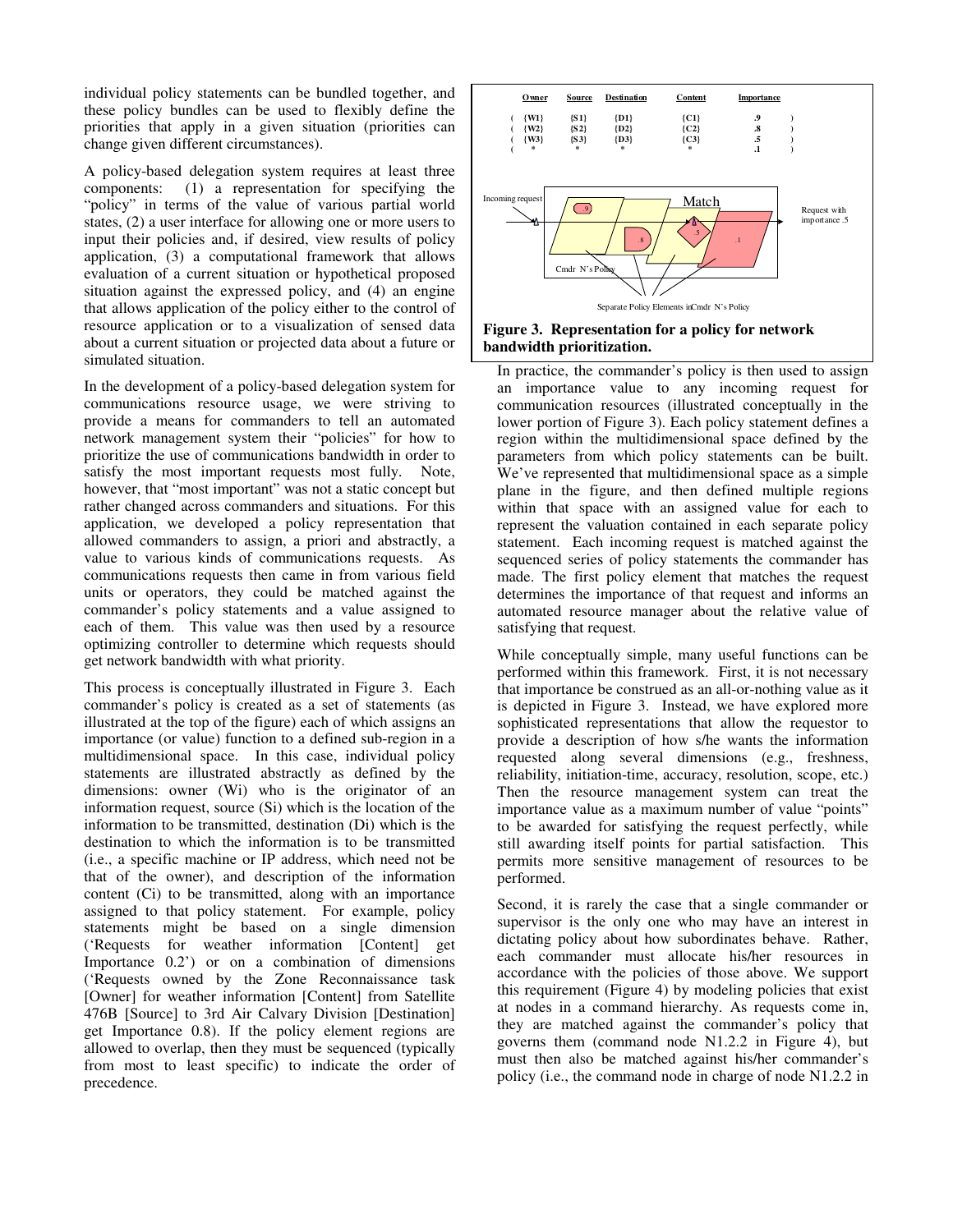individual policy statements can be bundled together, and these policy bundles can be used to flexibly define the priorities that apply in a given situation (priorities can change given different circumstances).

A policy-based delegation system requires at least three components: (1) a representation for specifying the "policy" in terms of the value of various partial world states, (2) a user interface for allowing one or more users to input their policies and, if desired, view results of policy application, (3) a computational framework that allows evaluation of a current situation or hypothetical proposed situation against the expressed policy, and (4) an engine that allows application of the policy either to the control of resource application or to a visualization of sensed data about a current situation or projected data about a future or simulated situation.

In the development of a policy-based delegation system for communications resource usage, we were striving to provide a means for commanders to tell an automated network management system their "policies" for how to prioritize the use of communications bandwidth in order to satisfy the most important requests most fully. Note, however, that "most important" was not a static concept but rather changed across commanders and situations. For this application, we developed a policy representation that allowed commanders to assign, a priori and abstractly, a value to various kinds of communications requests. As communications requests then came in from various field units or operators, they could be matched against the commander's policy statements and a value assigned to each of them. This value was then used by a resource optimizing controller to determine which requests should get network bandwidth with what priority.

This process is conceptually illustrated in Figure 3. Each commander's policy is created as a set of statements (as illustrated at the top of the figure) each of which assigns an importance (or value) function to a defined sub-region in a multidimensional space. In this case, individual policy statements are illustrated abstractly as defined by the dimensions: owner (Wi) who is the originator of an information request, source (Si) which is the location of the information to be transmitted, destination (Di) which is the destination to which the information is to be transmitted (i.e., a specific machine or IP address, which need not be that of the owner), and description of the information content (Ci) to be transmitted, along with an importance assigned to that policy statement. For example, policy statements might be based on a single dimension ('Requests for weather information [Content] get Importance 0.2') or on a combination of dimensions ('Requests owned by the Zone Reconnaissance task [Owner] for weather information [Content] from Satellite 476B [Source] to 3rd Air Calvary Division [Destination] get Importance 0.8). If the policy element regions are allowed to overlap, then they must be sequenced (typically from most to least specific) to indicate the order of precedence.





In practice, the commander's policy is then used to assign an importance value to any incoming request for communication resources (illustrated conceptually in the lower portion of Figure 3). Each policy statement defines a region within the multidimensional space defined by the parameters from which policy statements can be built. We've represented that multidimensional space as a simple plane in the figure, and then defined multiple regions within that space with an assigned value for each to represent the valuation contained in each separate policy statement. Each incoming request is matched against the sequenced series of policy statements the commander has made. The first policy element that matches the request determines the importance of that request and informs an automated resource manager about the relative value of satisfying that request.

While conceptually simple, many useful functions can be performed within this framework. First, it is not necessary that importance be construed as an all-or-nothing value as it is depicted in Figure 3. Instead, we have explored more sophisticated representations that allow the requestor to provide a description of how s/he wants the information requested along several dimensions (e.g., freshness, reliability, initiation-time, accuracy, resolution, scope, etc.) Then the resource management system can treat the importance value as a maximum number of value "points" to be awarded for satisfying the request perfectly, while still awarding itself points for partial satisfaction. This permits more sensitive management of resources to be performed.

Second, it is rarely the case that a single commander or supervisor is the only one who may have an interest in dictating policy about how subordinates behave. Rather, each commander must allocate his/her resources in accordance with the policies of those above. We support this requirement (Figure 4) by modeling policies that exist at nodes in a command hierarchy. As requests come in, they are matched against the commander's policy that governs them (command node N1.2.2 in Figure 4), but must then also be matched against his/her commander's policy (i.e., the command node in charge of node N1.2.2 in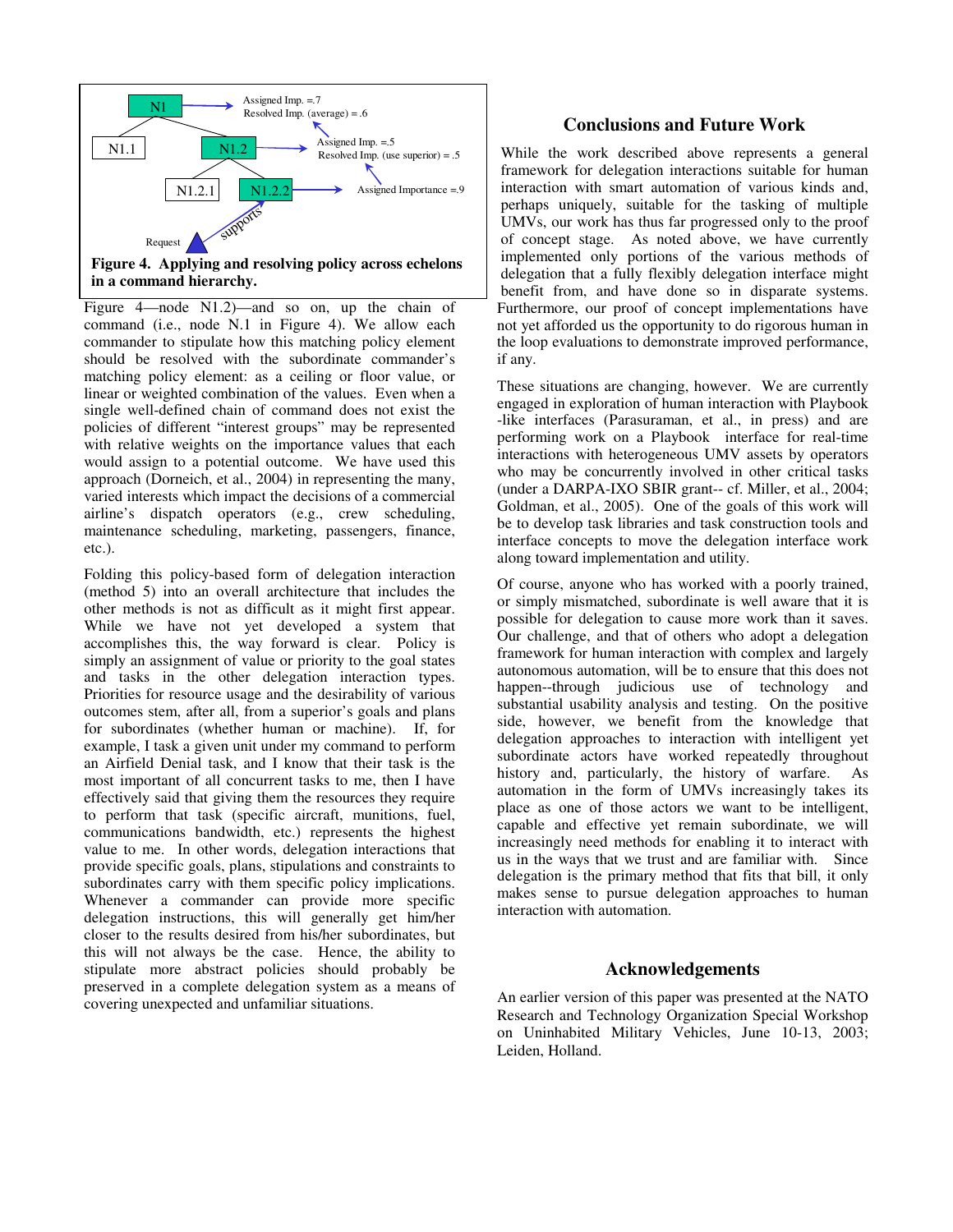

**Figure 4. Applying and resolving policy across echelons in a command hierarchy.** 

Figure 4—node N1.2)—and so on, up the chain of command (i.e., node N.1 in Figure 4). We allow each commander to stipulate how this matching policy element should be resolved with the subordinate commander's matching policy element: as a ceiling or floor value, or linear or weighted combination of the values. Even when a single well-defined chain of command does not exist the policies of different "interest groups" may be represented with relative weights on the importance values that each would assign to a potential outcome. We have used this approach (Dorneich, et al., 2004) in representing the many, varied interests which impact the decisions of a commercial airline's dispatch operators (e.g., crew scheduling, maintenance scheduling, marketing, passengers, finance, etc.).

Folding this policy-based form of delegation interaction (method 5) into an overall architecture that includes the other methods is not as difficult as it might first appear. While we have not yet developed a system that accomplishes this, the way forward is clear. Policy is simply an assignment of value or priority to the goal states and tasks in the other delegation interaction types. Priorities for resource usage and the desirability of various outcomes stem, after all, from a superior's goals and plans for subordinates (whether human or machine). If, for example, I task a given unit under my command to perform an Airfield Denial task, and I know that their task is the most important of all concurrent tasks to me, then I have effectively said that giving them the resources they require to perform that task (specific aircraft, munitions, fuel, communications bandwidth, etc.) represents the highest value to me. In other words, delegation interactions that provide specific goals, plans, stipulations and constraints to subordinates carry with them specific policy implications. Whenever a commander can provide more specific delegation instructions, this will generally get him/her closer to the results desired from his/her subordinates, but this will not always be the case. Hence, the ability to stipulate more abstract policies should probably be preserved in a complete delegation system as a means of covering unexpected and unfamiliar situations.

## **Conclusions and Future Work**

While the work described above represents a general framework for delegation interactions suitable for human interaction with smart automation of various kinds and, perhaps uniquely, suitable for the tasking of multiple UMVs, our work has thus far progressed only to the proof of concept stage. As noted above, we have currently implemented only portions of the various methods of delegation that a fully flexibly delegation interface might benefit from, and have done so in disparate systems. Furthermore, our proof of concept implementations have not yet afforded us the opportunity to do rigorous human in the loop evaluations to demonstrate improved performance, if any.

These situations are changing, however. We are currently engaged in exploration of human interaction with Playbook -like interfaces (Parasuraman, et al., in press) and are performing work on a Playbook interface for real-time interactions with heterogeneous UMV assets by operators who may be concurrently involved in other critical tasks (under a DARPA-IXO SBIR grant-- cf. Miller, et al., 2004; Goldman, et al., 2005). One of the goals of this work will be to develop task libraries and task construction tools and interface concepts to move the delegation interface work along toward implementation and utility.

Of course, anyone who has worked with a poorly trained, or simply mismatched, subordinate is well aware that it is possible for delegation to cause more work than it saves. Our challenge, and that of others who adopt a delegation framework for human interaction with complex and largely autonomous automation, will be to ensure that this does not happen--through judicious use of technology and substantial usability analysis and testing. On the positive side, however, we benefit from the knowledge that delegation approaches to interaction with intelligent yet subordinate actors have worked repeatedly throughout history and, particularly, the history of warfare. As automation in the form of UMVs increasingly takes its place as one of those actors we want to be intelligent, capable and effective yet remain subordinate, we will increasingly need methods for enabling it to interact with us in the ways that we trust and are familiar with. Since delegation is the primary method that fits that bill, it only makes sense to pursue delegation approaches to human interaction with automation.

#### **Acknowledgements**

An earlier version of this paper was presented at the NATO Research and Technology Organization Special Workshop on Uninhabited Military Vehicles, June 10-13, 2003; Leiden, Holland.